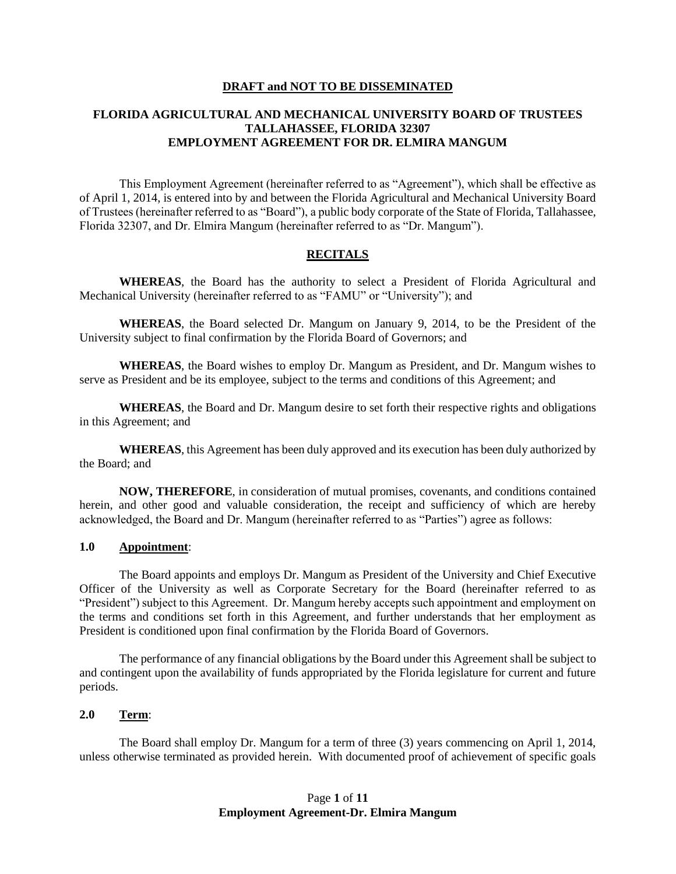#### **DRAFT and NOT TO BE DISSEMINATED**

# **FLORIDA AGRICULTURAL AND MECHANICAL UNIVERSITY BOARD OF TRUSTEES TALLAHASSEE, FLORIDA 32307 EMPLOYMENT AGREEMENT FOR DR. ELMIRA MANGUM**

This Employment Agreement (hereinafter referred to as "Agreement"), which shall be effective as of April 1, 2014, is entered into by and between the Florida Agricultural and Mechanical University Board of Trustees (hereinafter referred to as "Board"), a public body corporate of the State of Florida, Tallahassee, Florida 32307, and Dr. Elmira Mangum (hereinafter referred to as "Dr. Mangum").

# **RECITALS**

**WHEREAS**, the Board has the authority to select a President of Florida Agricultural and Mechanical University (hereinafter referred to as "FAMU" or "University"); and

**WHEREAS**, the Board selected Dr. Mangum on January 9, 2014, to be the President of the University subject to final confirmation by the Florida Board of Governors; and

**WHEREAS**, the Board wishes to employ Dr. Mangum as President, and Dr. Mangum wishes to serve as President and be its employee, subject to the terms and conditions of this Agreement; and

**WHEREAS**, the Board and Dr. Mangum desire to set forth their respective rights and obligations in this Agreement; and

**WHEREAS**, this Agreement has been duly approved and its execution has been duly authorized by the Board; and

**NOW, THEREFORE**, in consideration of mutual promises, covenants, and conditions contained herein, and other good and valuable consideration, the receipt and sufficiency of which are hereby acknowledged, the Board and Dr. Mangum (hereinafter referred to as "Parties") agree as follows:

#### **1.0 Appointment**:

The Board appoints and employs Dr. Mangum as President of the University and Chief Executive Officer of the University as well as Corporate Secretary for the Board (hereinafter referred to as "President") subject to this Agreement. Dr. Mangum hereby accepts such appointment and employment on the terms and conditions set forth in this Agreement, and further understands that her employment as President is conditioned upon final confirmation by the Florida Board of Governors.

The performance of any financial obligations by the Board under this Agreement shall be subject to and contingent upon the availability of funds appropriated by the Florida legislature for current and future periods.

#### **2.0 Term**:

The Board shall employ Dr. Mangum for a term of three (3) years commencing on April 1, 2014, unless otherwise terminated as provided herein. With documented proof of achievement of specific goals

# Page **1** of **11 Employment Agreement-Dr. Elmira Mangum**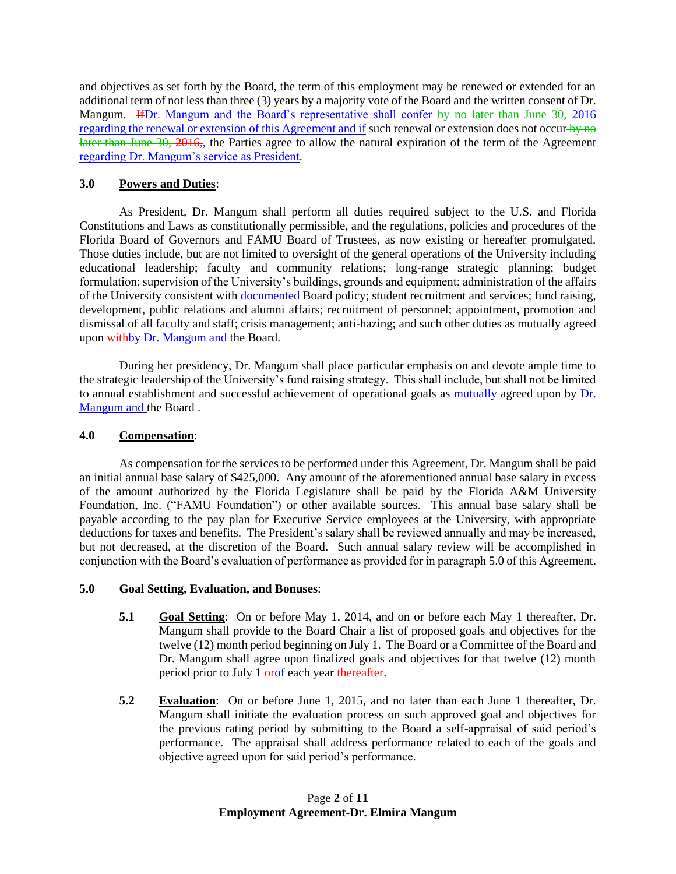and objectives as set forth by the Board, the term of this employment may be renewed or extended for an additional term of not less than three (3) years by a majority vote of the Board and the written consent of Dr. Mangum. IfDr. Mangum and the Board's representative shall confer by no later than June 30, 2016 regarding the renewal or extension of this Agreement and if such renewal or extension does not occur-by no later than June 30, 2016, the Parties agree to allow the natural expiration of the term of the Agreement regarding Dr. Mangum's service as President.

# **3.0 Powers and Duties**:

As President, Dr. Mangum shall perform all duties required subject to the U.S. and Florida Constitutions and Laws as constitutionally permissible, and the regulations, policies and procedures of the Florida Board of Governors and FAMU Board of Trustees, as now existing or hereafter promulgated. Those duties include, but are not limited to oversight of the general operations of the University including educational leadership; faculty and community relations; long-range strategic planning; budget formulation; supervision of the University's buildings, grounds and equipment; administration of the affairs of the University consistent with **documented** Board policy; student recruitment and services; fund raising, development, public relations and alumni affairs; recruitment of personnel; appointment, promotion and dismissal of all faculty and staff; crisis management; anti-hazing; and such other duties as mutually agreed upon with by Dr. Mangum and the Board.

During her presidency, Dr. Mangum shall place particular emphasis on and devote ample time to the strategic leadership of the University's fund raising strategy. This shall include, but shall not be limited to annual establishment and successful achievement of operational goals as mutually agreed upon by Dr. Mangum and the Board.

# **4.0 Compensation**:

As compensation for the services to be performed under this Agreement, Dr. Mangum shall be paid an initial annual base salary of \$425,000. Any amount of the aforementioned annual base salary in excess of the amount authorized by the Florida Legislature shall be paid by the Florida A&M University Foundation, Inc. ("FAMU Foundation") or other available sources. This annual base salary shall be payable according to the pay plan for Executive Service employees at the University, with appropriate deductions for taxes and benefits. The President's salary shall be reviewed annually and may be increased, but not decreased, at the discretion of the Board. Such annual salary review will be accomplished in conjunction with the Board's evaluation of performance as provided for in paragraph 5.0 of this Agreement.

# **5.0 Goal Setting, Evaluation, and Bonuses**:

- **5.1 Goal Setting**: On or before May 1, 2014, and on or before each May 1 thereafter, Dr. Mangum shall provide to the Board Chair a list of proposed goals and objectives for the twelve (12) month period beginning on July 1. The Board or a Committee of the Board and Dr. Mangum shall agree upon finalized goals and objectives for that twelve (12) month period prior to July 1  $er(f)$  each year-thereafter.
- **5.2 Evaluation**: On or before June 1, 2015, and no later than each June 1 thereafter, Dr. Mangum shall initiate the evaluation process on such approved goal and objectives for the previous rating period by submitting to the Board a self-appraisal of said period's performance. The appraisal shall address performance related to each of the goals and objective agreed upon for said period's performance.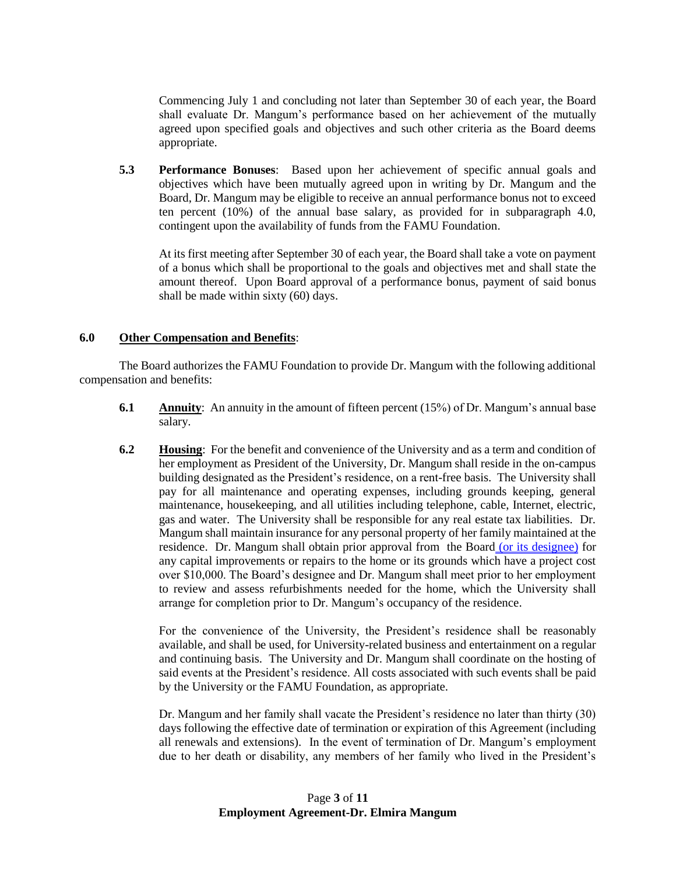Commencing July 1 and concluding not later than September 30 of each year, the Board shall evaluate Dr. Mangum's performance based on her achievement of the mutually agreed upon specified goals and objectives and such other criteria as the Board deems appropriate.

**5.3 Performance Bonuses**: Based upon her achievement of specific annual goals and objectives which have been mutually agreed upon in writing by Dr. Mangum and the Board, Dr. Mangum may be eligible to receive an annual performance bonus not to exceed ten percent (10%) of the annual base salary, as provided for in subparagraph 4.0, contingent upon the availability of funds from the FAMU Foundation.

At its first meeting after September 30 of each year, the Board shall take a vote on payment of a bonus which shall be proportional to the goals and objectives met and shall state the amount thereof. Upon Board approval of a performance bonus, payment of said bonus shall be made within sixty (60) days.

# **6.0 Other Compensation and Benefits**:

The Board authorizes the FAMU Foundation to provide Dr. Mangum with the following additional compensation and benefits:

- **6.1 Annuity**: An annuity in the amount of fifteen percent (15%) of Dr. Mangum's annual base salary.
- **6.2 Housing**: For the benefit and convenience of the University and as a term and condition of her employment as President of the University, Dr. Mangum shall reside in the on-campus building designated as the President's residence, on a rent-free basis. The University shall pay for all maintenance and operating expenses, including grounds keeping, general maintenance, housekeeping, and all utilities including telephone, cable, Internet, electric, gas and water. The University shall be responsible for any real estate tax liabilities. Dr. Mangum shall maintain insurance for any personal property of her family maintained at the residence. Dr. Mangum shall obtain prior approval from the Board (or its designee) for any capital improvements or repairs to the home or its grounds which have a project cost over \$10,000. The Board's designee and Dr. Mangum shall meet prior to her employment to review and assess refurbishments needed for the home, which the University shall arrange for completion prior to Dr. Mangum's occupancy of the residence.

For the convenience of the University, the President's residence shall be reasonably available, and shall be used, for University-related business and entertainment on a regular and continuing basis. The University and Dr. Mangum shall coordinate on the hosting of said events at the President's residence. All costs associated with such events shall be paid by the University or the FAMU Foundation, as appropriate.

Dr. Mangum and her family shall vacate the President's residence no later than thirty (30) days following the effective date of termination or expiration of this Agreement (including all renewals and extensions). In the event of termination of Dr. Mangum's employment due to her death or disability, any members of her family who lived in the President's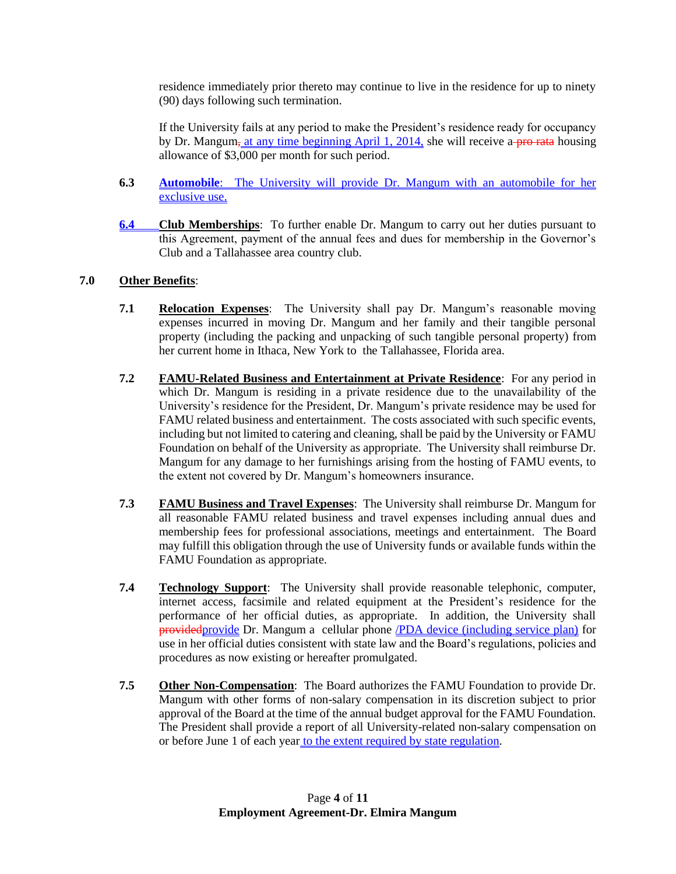residence immediately prior thereto may continue to live in the residence for up to ninety (90) days following such termination.

If the University fails at any period to make the President's residence ready for occupancy by Dr. Mangum, at any time beginning April 1, 2014, she will receive a pro-rata housing allowance of \$3,000 per month for such period.

- **6.3 Automobile**: The University will provide Dr. Mangum with an automobile for her exclusive use.
- **6.4 Club Memberships**: To further enable Dr. Mangum to carry out her duties pursuant to this Agreement, payment of the annual fees and dues for membership in the Governor's Club and a Tallahassee area country club.

# **7.0 Other Benefits**:

- **7.1 Relocation Expenses**: The University shall pay Dr. Mangum's reasonable moving expenses incurred in moving Dr. Mangum and her family and their tangible personal property (including the packing and unpacking of such tangible personal property) from her current home in Ithaca, New York to the Tallahassee, Florida area.
- **7.2 FAMU-Related Business and Entertainment at Private Residence**: For any period in which Dr. Mangum is residing in a private residence due to the unavailability of the University's residence for the President, Dr. Mangum's private residence may be used for FAMU related business and entertainment. The costs associated with such specific events, including but not limited to catering and cleaning, shall be paid by the University or FAMU Foundation on behalf of the University as appropriate. The University shall reimburse Dr. Mangum for any damage to her furnishings arising from the hosting of FAMU events, to the extent not covered by Dr. Mangum's homeowners insurance.
- **7.3 FAMU Business and Travel Expenses**: The University shall reimburse Dr. Mangum for all reasonable FAMU related business and travel expenses including annual dues and membership fees for professional associations, meetings and entertainment. The Board may fulfill this obligation through the use of University funds or available funds within the FAMU Foundation as appropriate.
- **7.4 Technology Support**: The University shall provide reasonable telephonic, computer, internet access, facsimile and related equipment at the President's residence for the performance of her official duties, as appropriate. In addition, the University shall providedprovide Dr. Mangum a cellular phone /PDA device (including service plan) for use in her official duties consistent with state law and the Board's regulations, policies and procedures as now existing or hereafter promulgated.
- **7.5 Other Non-Compensation**: The Board authorizes the FAMU Foundation to provide Dr. Mangum with other forms of non-salary compensation in its discretion subject to prior approval of the Board at the time of the annual budget approval for the FAMU Foundation. The President shall provide a report of all University-related non-salary compensation on or before June 1 of each year to the extent required by state regulation.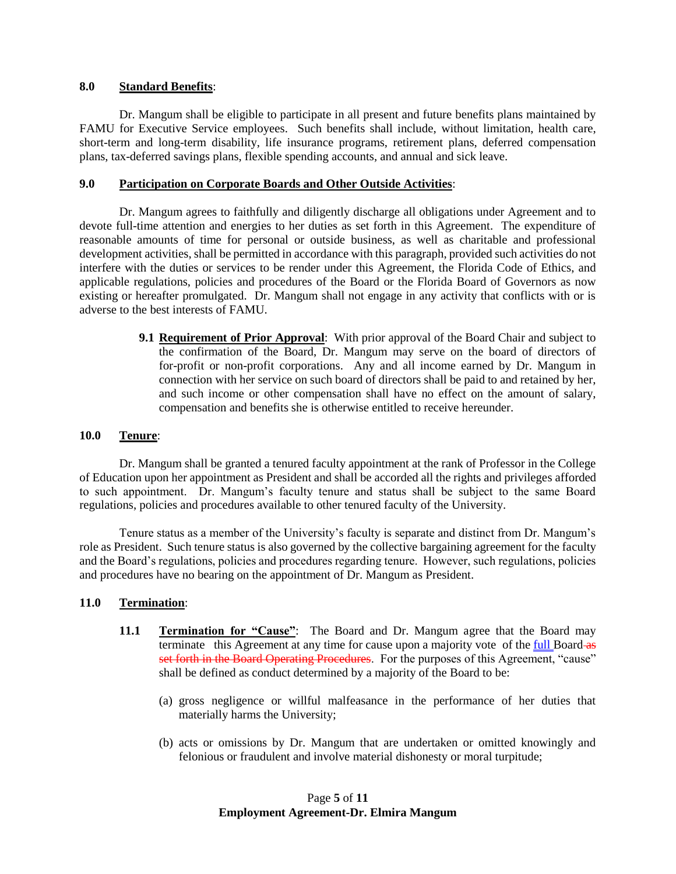#### **8.0 Standard Benefits**:

Dr. Mangum shall be eligible to participate in all present and future benefits plans maintained by FAMU for Executive Service employees. Such benefits shall include, without limitation, health care, short-term and long-term disability, life insurance programs, retirement plans, deferred compensation plans, tax-deferred savings plans, flexible spending accounts, and annual and sick leave.

#### **9.0 Participation on Corporate Boards and Other Outside Activities**:

Dr. Mangum agrees to faithfully and diligently discharge all obligations under Agreement and to devote full-time attention and energies to her duties as set forth in this Agreement. The expenditure of reasonable amounts of time for personal or outside business, as well as charitable and professional development activities, shall be permitted in accordance with this paragraph, provided such activities do not interfere with the duties or services to be render under this Agreement, the Florida Code of Ethics, and applicable regulations, policies and procedures of the Board or the Florida Board of Governors as now existing or hereafter promulgated. Dr. Mangum shall not engage in any activity that conflicts with or is adverse to the best interests of FAMU.

> **9.1 Requirement of Prior Approval**: With prior approval of the Board Chair and subject to the confirmation of the Board, Dr. Mangum may serve on the board of directors of for-profit or non-profit corporations. Any and all income earned by Dr. Mangum in connection with her service on such board of directors shall be paid to and retained by her, and such income or other compensation shall have no effect on the amount of salary, compensation and benefits she is otherwise entitled to receive hereunder.

#### **10.0 Tenure**:

Dr. Mangum shall be granted a tenured faculty appointment at the rank of Professor in the College of Education upon her appointment as President and shall be accorded all the rights and privileges afforded to such appointment. Dr. Mangum's faculty tenure and status shall be subject to the same Board regulations, policies and procedures available to other tenured faculty of the University.

Tenure status as a member of the University's faculty is separate and distinct from Dr. Mangum's role as President. Such tenure status is also governed by the collective bargaining agreement for the faculty and the Board's regulations, policies and procedures regarding tenure. However, such regulations, policies and procedures have no bearing on the appointment of Dr. Mangum as President.

# **11.0 Termination**:

- **11.1 Termination for "Cause":** The Board and Dr. Mangum agree that the Board may terminate this Agreement at any time for cause upon a majority vote of the full Board as set forth in the Board Operating Procedures. For the purposes of this Agreement, "cause" shall be defined as conduct determined by a majority of the Board to be:
	- (a) gross negligence or willful malfeasance in the performance of her duties that materially harms the University;
	- (b) acts or omissions by Dr. Mangum that are undertaken or omitted knowingly and felonious or fraudulent and involve material dishonesty or moral turpitude;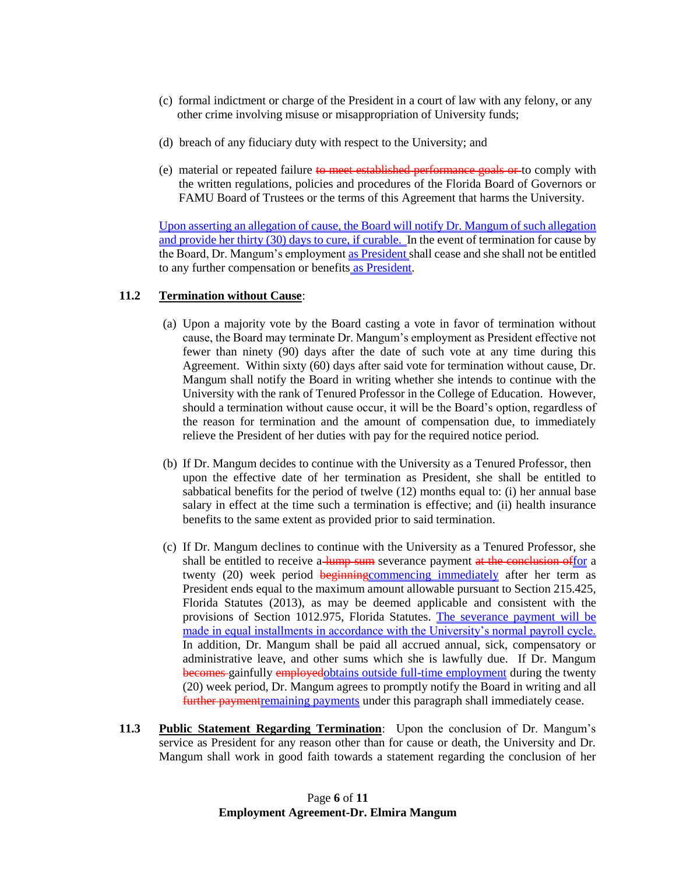- (c) formal indictment or charge of the President in a court of law with any felony, or any other crime involving misuse or misappropriation of University funds;
- (d) breach of any fiduciary duty with respect to the University; and
- (e) material or repeated failure to meet established performance goals or to comply with the written regulations, policies and procedures of the Florida Board of Governors or FAMU Board of Trustees or the terms of this Agreement that harms the University.

Upon asserting an allegation of cause, the Board will notify Dr. Mangum of such allegation and provide her thirty (30) days to cure, if curable. In the event of termination for cause by the Board, Dr. Mangum's employment as President shall cease and she shall not be entitled to any further compensation or benefits as President.

#### **11.2 Termination without Cause**:

- (a) Upon a majority vote by the Board casting a vote in favor of termination without cause, the Board may terminate Dr. Mangum's employment as President effective not fewer than ninety (90) days after the date of such vote at any time during this Agreement. Within sixty (60) days after said vote for termination without cause, Dr. Mangum shall notify the Board in writing whether she intends to continue with the University with the rank of Tenured Professor in the College of Education. However, should a termination without cause occur, it will be the Board's option, regardless of the reason for termination and the amount of compensation due, to immediately relieve the President of her duties with pay for the required notice period.
- (b) If Dr. Mangum decides to continue with the University as a Tenured Professor, then upon the effective date of her termination as President, she shall be entitled to sabbatical benefits for the period of twelve (12) months equal to: (i) her annual base salary in effect at the time such a termination is effective; and (ii) health insurance benefits to the same extent as provided prior to said termination.
- (c) If Dr. Mangum declines to continue with the University as a Tenured Professor, she shall be entitled to receive a lump sum severance payment at the conclusion offor a twenty (20) week period beginning commencing immediately after her term as President ends equal to the maximum amount allowable pursuant to Section 215.425, Florida Statutes (2013), as may be deemed applicable and consistent with the provisions of Section 1012.975, Florida Statutes. The severance payment will be made in equal installments in accordance with the University's normal payroll cycle. In addition, Dr. Mangum shall be paid all accrued annual, sick, compensatory or administrative leave, and other sums which she is lawfully due. If Dr. Mangum becomes gainfully employedobtains outside full-time employment during the twenty (20) week period, Dr. Mangum agrees to promptly notify the Board in writing and all further payment remaining payments under this paragraph shall immediately cease.
- **11.3 Public Statement Regarding Termination**: Upon the conclusion of Dr. Mangum's service as President for any reason other than for cause or death, the University and Dr. Mangum shall work in good faith towards a statement regarding the conclusion of her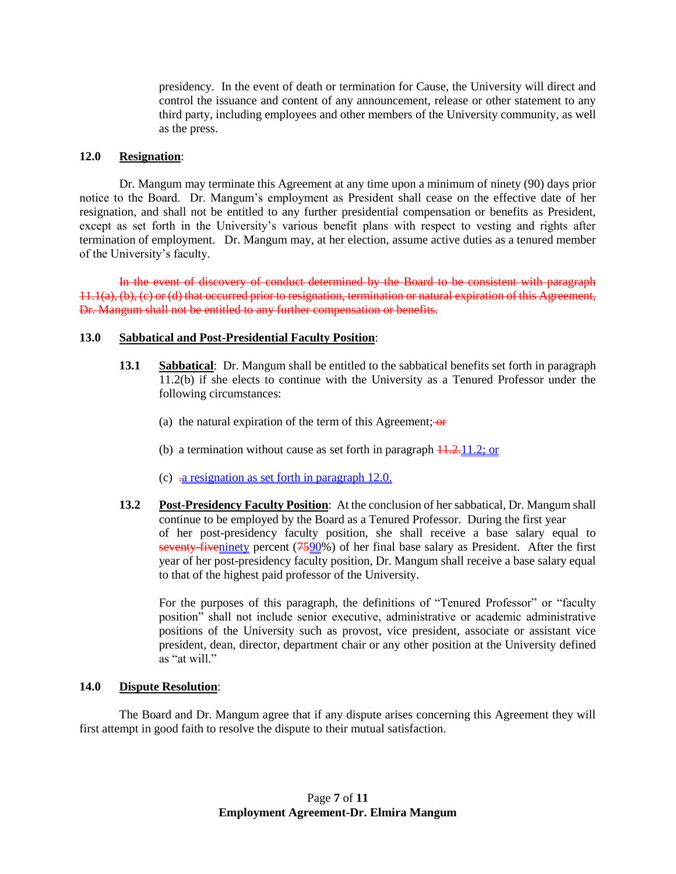presidency. In the event of death or termination for Cause, the University will direct and control the issuance and content of any announcement, release or other statement to any third party, including employees and other members of the University community, as well as the press.

#### **12.0 Resignation**:

Dr. Mangum may terminate this Agreement at any time upon a minimum of ninety (90) days prior notice to the Board. Dr. Mangum's employment as President shall cease on the effective date of her resignation, and shall not be entitled to any further presidential compensation or benefits as President, except as set forth in the University's various benefit plans with respect to vesting and rights after termination of employment. Dr. Mangum may, at her election, assume active duties as a tenured member of the University's faculty.

In the event of discovery of conduct determined by the Board to be consistent with paragraph 11.1(a), (b), (c) or (d) that occurred prior to resignation, termination or natural expiration of this Agreement, Dr. Mangum shall not be entitled to any further compensation or benefits.

# **13.0 Sabbatical and Post-Presidential Faculty Position**:

- **13.1 Sabbatical**: Dr. Mangum shall be entitled to the sabbatical benefits set forth in paragraph 11.2(b) if she elects to continue with the University as a Tenured Professor under the following circumstances:
	- (a) the natural expiration of the term of this Agreement;  $\theta$
	- (b) a termination without cause as set forth in paragraph  $\frac{11.2.11.2}{}$ ; or
	- (c)  $\frac{1}{2}$  resignation as set forth in paragraph 12.0.
- **13.2 Post-Presidency Faculty Position**: At the conclusion of her sabbatical, Dr. Mangum shall continue to be employed by the Board as a Tenured Professor. During the first year of her post-presidency faculty position, she shall receive a base salary equal to seventy-fiveninety percent (7590%) of her final base salary as President. After the first year of her post-presidency faculty position, Dr. Mangum shall receive a base salary equal to that of the highest paid professor of the University.

For the purposes of this paragraph, the definitions of "Tenured Professor" or "faculty position" shall not include senior executive, administrative or academic administrative positions of the University such as provost, vice president, associate or assistant vice president, dean, director, department chair or any other position at the University defined as "at will."

#### **14.0 Dispute Resolution**:

The Board and Dr. Mangum agree that if any dispute arises concerning this Agreement they will first attempt in good faith to resolve the dispute to their mutual satisfaction.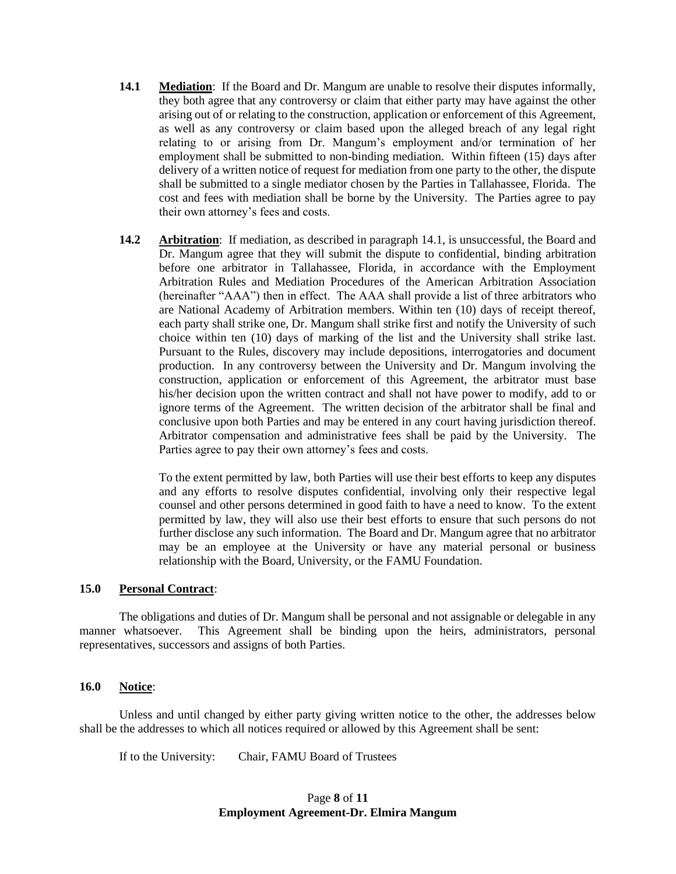- **14.1 Mediation**: If the Board and Dr. Mangum are unable to resolve their disputes informally, they both agree that any controversy or claim that either party may have against the other arising out of or relating to the construction, application or enforcement of this Agreement, as well as any controversy or claim based upon the alleged breach of any legal right relating to or arising from Dr. Mangum's employment and/or termination of her employment shall be submitted to non-binding mediation. Within fifteen (15) days after delivery of a written notice of request for mediation from one party to the other, the dispute shall be submitted to a single mediator chosen by the Parties in Tallahassee, Florida. The cost and fees with mediation shall be borne by the University. The Parties agree to pay their own attorney's fees and costs.
- **14.2 Arbitration**: If mediation, as described in paragraph 14.1, is unsuccessful, the Board and Dr. Mangum agree that they will submit the dispute to confidential, binding arbitration before one arbitrator in Tallahassee, Florida, in accordance with the Employment Arbitration Rules and Mediation Procedures of the American Arbitration Association (hereinafter "AAA") then in effect. The AAA shall provide a list of three arbitrators who are National Academy of Arbitration members. Within ten (10) days of receipt thereof, each party shall strike one, Dr. Mangum shall strike first and notify the University of such choice within ten (10) days of marking of the list and the University shall strike last. Pursuant to the Rules, discovery may include depositions, interrogatories and document production. In any controversy between the University and Dr. Mangum involving the construction, application or enforcement of this Agreement, the arbitrator must base his/her decision upon the written contract and shall not have power to modify, add to or ignore terms of the Agreement. The written decision of the arbitrator shall be final and conclusive upon both Parties and may be entered in any court having jurisdiction thereof. Arbitrator compensation and administrative fees shall be paid by the University. The Parties agree to pay their own attorney's fees and costs.

To the extent permitted by law, both Parties will use their best efforts to keep any disputes and any efforts to resolve disputes confidential, involving only their respective legal counsel and other persons determined in good faith to have a need to know. To the extent permitted by law, they will also use their best efforts to ensure that such persons do not further disclose any such information. The Board and Dr. Mangum agree that no arbitrator may be an employee at the University or have any material personal or business relationship with the Board, University, or the FAMU Foundation.

#### **15.0 Personal Contract**:

The obligations and duties of Dr. Mangum shall be personal and not assignable or delegable in any manner whatsoever. This Agreement shall be binding upon the heirs, administrators, personal representatives, successors and assigns of both Parties.

#### **16.0 Notice**:

Unless and until changed by either party giving written notice to the other, the addresses below shall be the addresses to which all notices required or allowed by this Agreement shall be sent:

If to the University: Chair, FAMU Board of Trustees

# Page **8** of **11 Employment Agreement-Dr. Elmira Mangum**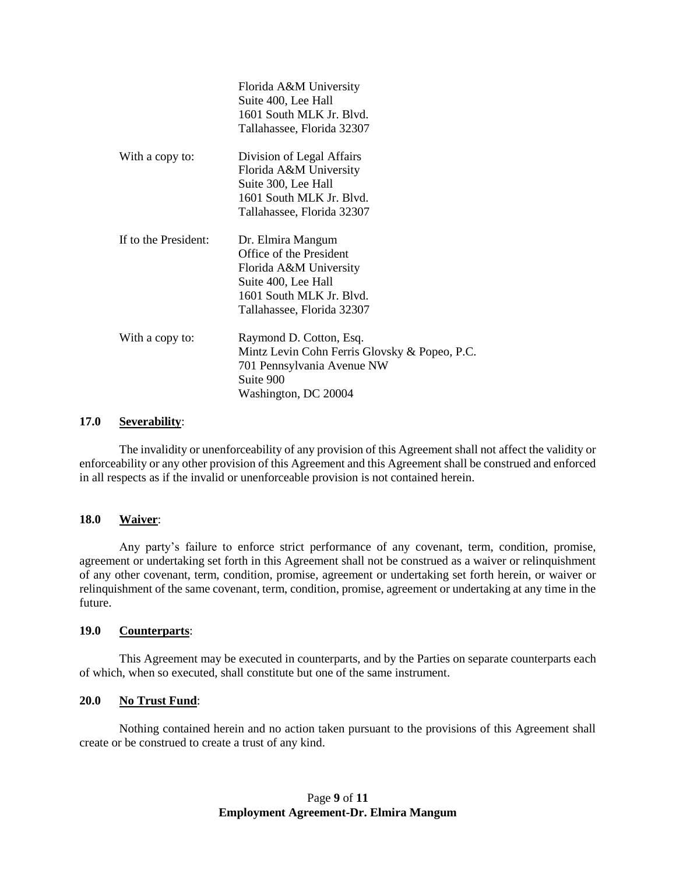|                      | Florida A&M University<br>Suite 400, Lee Hall<br>1601 South MLK Jr. Blvd.<br>Tallahassee, Florida 32307                                                 |
|----------------------|---------------------------------------------------------------------------------------------------------------------------------------------------------|
| With a copy to:      | Division of Legal Affairs<br>Florida A&M University<br>Suite 300, Lee Hall<br>1601 South MLK Jr. Blvd.<br>Tallahassee, Florida 32307                    |
| If to the President: | Dr. Elmira Mangum<br>Office of the President<br>Florida A&M University<br>Suite 400, Lee Hall<br>1601 South MLK Jr. Blvd.<br>Tallahassee, Florida 32307 |
| With a copy to:      | Raymond D. Cotton, Esq.<br>Mintz Levin Cohn Ferris Glovsky & Popeo, P.C.<br>701 Pennsylvania Avenue NW<br>Suite 900<br>Washington, DC 20004             |

# **17.0 Severability**:

The invalidity or unenforceability of any provision of this Agreement shall not affect the validity or enforceability or any other provision of this Agreement and this Agreement shall be construed and enforced in all respects as if the invalid or unenforceable provision is not contained herein.

#### **18.0 Waiver**:

Any party's failure to enforce strict performance of any covenant, term, condition, promise, agreement or undertaking set forth in this Agreement shall not be construed as a waiver or relinquishment of any other covenant, term, condition, promise, agreement or undertaking set forth herein, or waiver or relinquishment of the same covenant, term, condition, promise, agreement or undertaking at any time in the future.

#### **19.0 Counterparts**:

This Agreement may be executed in counterparts, and by the Parties on separate counterparts each of which, when so executed, shall constitute but one of the same instrument.

# **20.0 No Trust Fund**:

Nothing contained herein and no action taken pursuant to the provisions of this Agreement shall create or be construed to create a trust of any kind.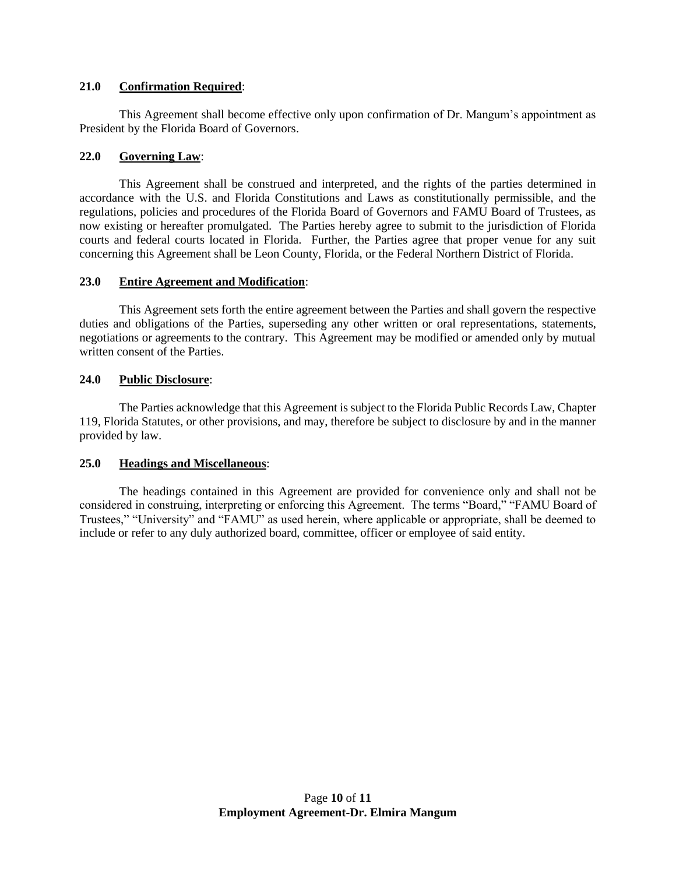# **21.0 Confirmation Required**:

This Agreement shall become effective only upon confirmation of Dr. Mangum's appointment as President by the Florida Board of Governors.

#### **22.0 Governing Law**:

This Agreement shall be construed and interpreted, and the rights of the parties determined in accordance with the U.S. and Florida Constitutions and Laws as constitutionally permissible, and the regulations, policies and procedures of the Florida Board of Governors and FAMU Board of Trustees, as now existing or hereafter promulgated. The Parties hereby agree to submit to the jurisdiction of Florida courts and federal courts located in Florida. Further, the Parties agree that proper venue for any suit concerning this Agreement shall be Leon County, Florida, or the Federal Northern District of Florida.

#### **23.0 Entire Agreement and Modification**:

This Agreement sets forth the entire agreement between the Parties and shall govern the respective duties and obligations of the Parties, superseding any other written or oral representations, statements, negotiations or agreements to the contrary. This Agreement may be modified or amended only by mutual written consent of the Parties.

# **24.0 Public Disclosure**:

The Parties acknowledge that this Agreement is subject to the Florida Public Records Law, Chapter 119, Florida Statutes, or other provisions, and may, therefore be subject to disclosure by and in the manner provided by law.

# **25.0 Headings and Miscellaneous**:

The headings contained in this Agreement are provided for convenience only and shall not be considered in construing, interpreting or enforcing this Agreement. The terms "Board," "FAMU Board of Trustees," "University" and "FAMU" as used herein, where applicable or appropriate, shall be deemed to include or refer to any duly authorized board, committee, officer or employee of said entity.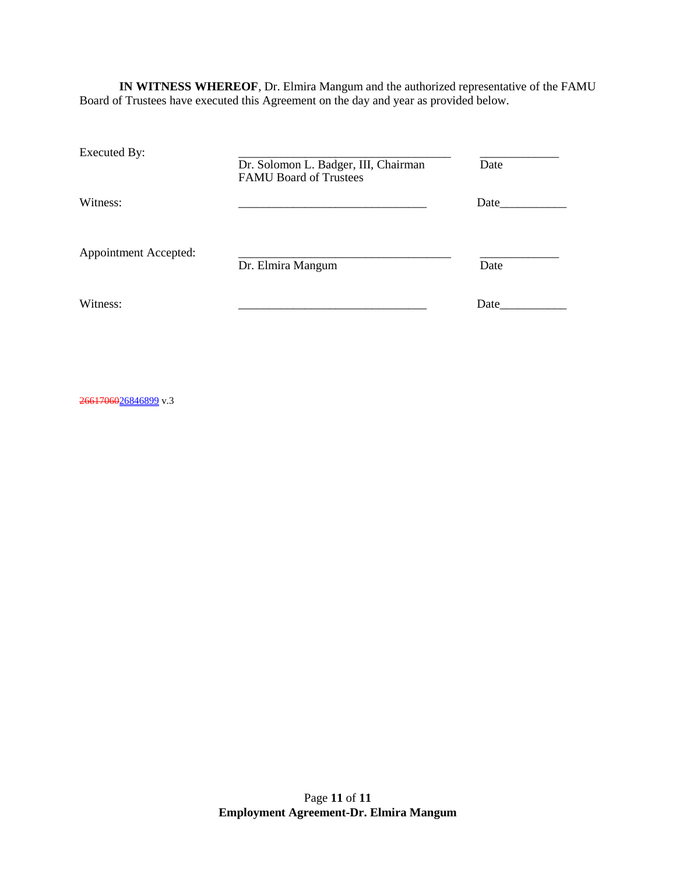**IN WITNESS WHEREOF**, Dr. Elmira Mangum and the authorized representative of the FAMU Board of Trustees have executed this Agreement on the day and year as provided below.

| Executed By:                 | Dr. Solomon L. Badger, III, Chairman<br><b>FAMU Board of Trustees</b> | Date |
|------------------------------|-----------------------------------------------------------------------|------|
| Witness:                     |                                                                       | Date |
| <b>Appointment Accepted:</b> | Dr. Elmira Mangum                                                     | Date |
| Witness:                     |                                                                       | Date |

2661706026846899</u> v.3